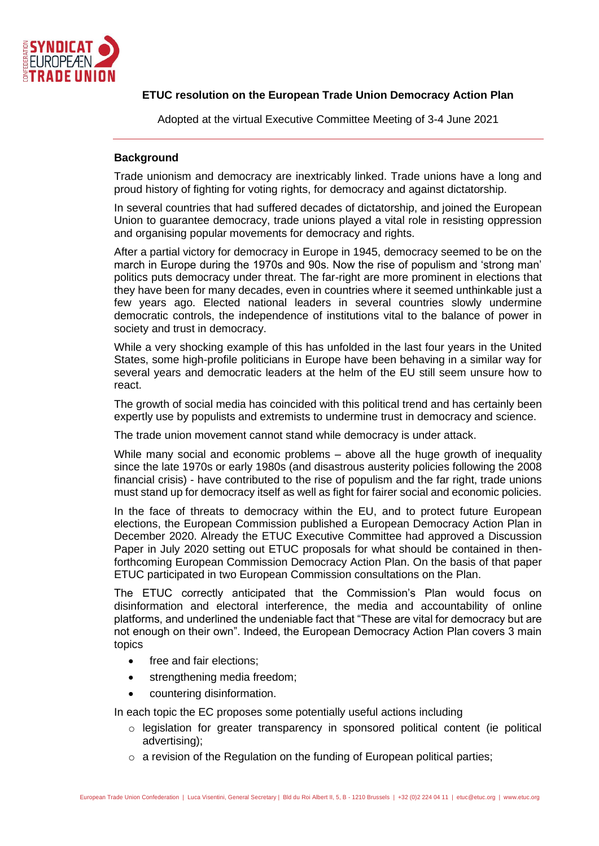

# **ETUC resolution on the European Trade Union Democracy Action Plan**

Adopted at the virtual Executive Committee Meeting of 3-4 June 2021

## **Background**

Trade unionism and democracy are inextricably linked. Trade unions have a long and proud history of fighting for voting rights, for democracy and against dictatorship.

In several countries that had suffered decades of dictatorship, and joined the European Union to guarantee democracy, trade unions played a vital role in resisting oppression and organising popular movements for democracy and rights.

After a partial victory for democracy in Europe in 1945, democracy seemed to be on the march in Europe during the 1970s and 90s. Now the rise of populism and 'strong man' politics puts democracy under threat. The far-right are more prominent in elections that they have been for many decades, even in countries where it seemed unthinkable just a few years ago. Elected national leaders in several countries slowly undermine democratic controls, the independence of institutions vital to the balance of power in society and trust in democracy.

While a very shocking example of this has unfolded in the last four years in the United States, some high-profile politicians in Europe have been behaving in a similar way for several years and democratic leaders at the helm of the EU still seem unsure how to react.

The growth of social media has coincided with this political trend and has certainly been expertly use by populists and extremists to undermine trust in democracy and science.

The trade union movement cannot stand while democracy is under attack.

While many social and economic problems – above all the huge growth of inequality since the late 1970s or early 1980s (and disastrous austerity policies following the 2008 financial crisis) - have contributed to the rise of populism and the far right, trade unions must stand up for democracy itself as well as fight for fairer social and economic policies.

In the face of threats to democracy within the EU, and to protect future European elections, the European Commission published a European Democracy Action Plan in December 2020. Already the ETUC Executive Committee had approved a Discussion Paper in July 2020 setting out ETUC proposals for what should be contained in thenforthcoming European Commission Democracy Action Plan. On the basis of that paper ETUC participated in two European Commission consultations on the Plan.

The ETUC correctly anticipated that the Commission's Plan would focus on disinformation and electoral interference, the media and accountability of online platforms, and underlined the undeniable fact that "These are vital for democracy but are not enough on their own". Indeed, the European Democracy Action Plan covers 3 main topics

- free and fair elections;
- strengthening media freedom;
- countering disinformation.

In each topic the EC proposes some potentially useful actions including

- o legislation for greater transparency in sponsored political content (ie political advertising);
- $\circ$  a revision of the Regulation on the funding of European political parties;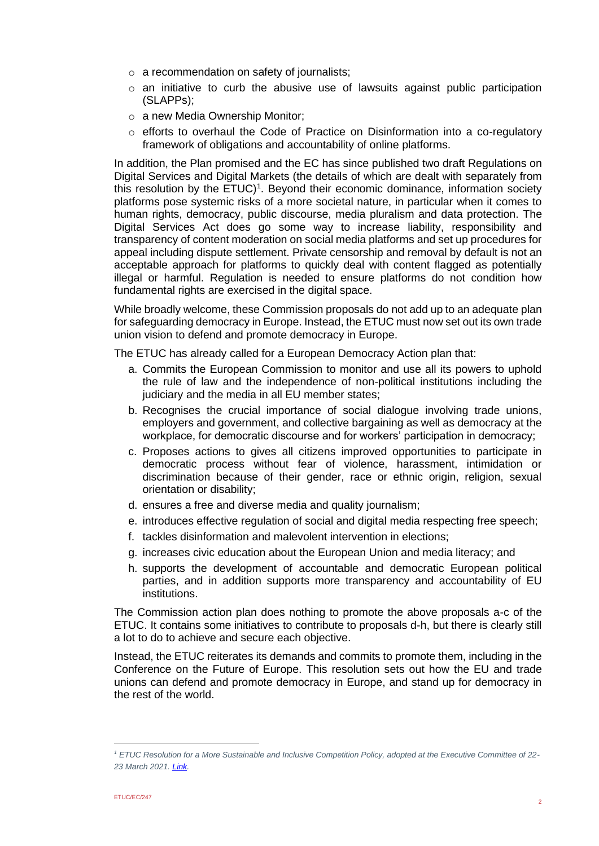- o a recommendation on safety of journalists;
- $\circ$  an initiative to curb the abusive use of lawsuits against public participation (SLAPPs);
- o a new Media Ownership Monitor;
- o efforts to overhaul the Code of Practice on Disinformation into a co-regulatory framework of obligations and accountability of online platforms.

In addition, the Plan promised and the EC has since published two draft Regulations on Digital Services and Digital Markets (the details of which are dealt with separately from this resolution by the  $ETUC)^1$ . Beyond their economic dominance, information society platforms pose systemic risks of a more societal nature, in particular when it comes to human rights, democracy, public discourse, media pluralism and data protection. The Digital Services Act does go some way to increase liability, responsibility and transparency of content moderation on social media platforms and set up procedures for appeal including dispute settlement. Private censorship and removal by default is not an acceptable approach for platforms to quickly deal with content flagged as potentially illegal or harmful. Regulation is needed to ensure platforms do not condition how fundamental rights are exercised in the digital space.

While broadly welcome, these Commission proposals do not add up to an adequate plan for safeguarding democracy in Europe. Instead, the ETUC must now set out its own trade union vision to defend and promote democracy in Europe.

The ETUC has already called for a European Democracy Action plan that:

- a. Commits the European Commission to monitor and use all its powers to uphold the rule of law and the independence of non-political institutions including the judiciary and the media in all EU member states:
- b. Recognises the crucial importance of social dialogue involving trade unions, employers and government, and collective bargaining as well as democracy at the workplace, for democratic discourse and for workers' participation in democracy;
- c. Proposes actions to gives all citizens improved opportunities to participate in democratic process without fear of violence, harassment, intimidation or discrimination because of their gender, race or ethnic origin, religion, sexual orientation or disability;
- d. ensures a free and diverse media and quality journalism;
- e. introduces effective regulation of social and digital media respecting free speech;
- f. tackles disinformation and malevolent intervention in elections;
- g. increases civic education about the European Union and media literacy; and
- h. supports the development of accountable and democratic European political parties, and in addition supports more transparency and accountability of EU institutions.

The Commission action plan does nothing to promote the above proposals a-c of the ETUC. It contains some initiatives to contribute to proposals d-h, but there is clearly still a lot to do to achieve and secure each objective.

Instead, the ETUC reiterates its demands and commits to promote them, including in the Conference on the Future of Europe. This resolution sets out how the EU and trade unions can defend and promote democracy in Europe, and stand up for democracy in the rest of the world.

*<sup>1</sup> ETUC Resolution for a More Sustainable and Inclusive Competition Policy, adopted at the Executive Committee of 22- 23 March 2021[. Link.](https://www.etuc.org/en/document/etuc-resolution-more-sustainable-and-inclusive-competition-policy)*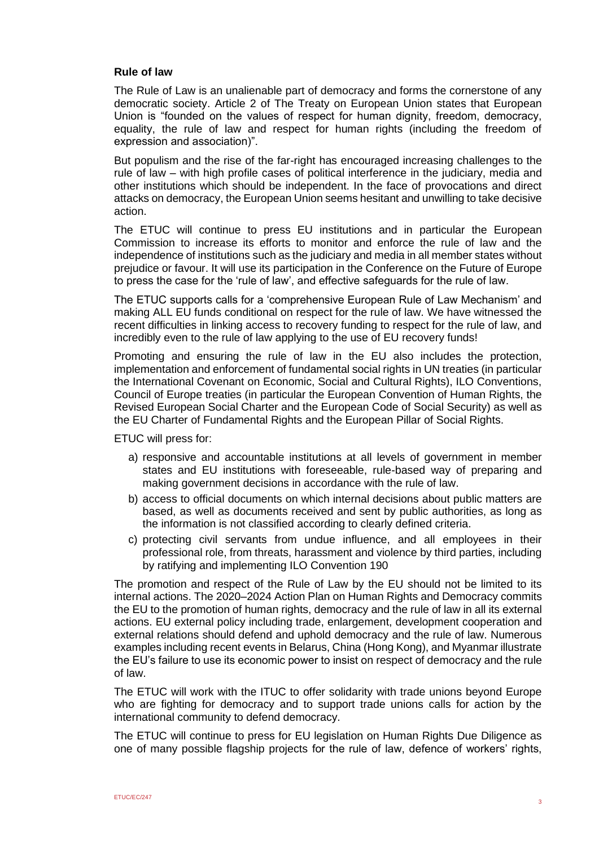## **Rule of law**

The Rule of Law is an unalienable part of democracy and forms the cornerstone of any democratic society. Article 2 of The Treaty on European Union states that European Union is "founded on the values of respect for human dignity, freedom, democracy, equality, the rule of law and respect for human rights (including the freedom of expression and association)".

But populism and the rise of the far-right has encouraged increasing challenges to the rule of law – with high profile cases of political interference in the judiciary, media and other institutions which should be independent. In the face of provocations and direct attacks on democracy, the European Union seems hesitant and unwilling to take decisive action.

The ETUC will continue to press EU institutions and in particular the European Commission to increase its efforts to monitor and enforce the rule of law and the independence of institutions such as the judiciary and media in all member states without prejudice or favour. It will use its participation in the Conference on the Future of Europe to press the case for the 'rule of law', and effective safeguards for the rule of law.

The ETUC supports calls for a 'comprehensive European Rule of Law Mechanism' and making ALL EU funds conditional on respect for the rule of law. We have witnessed the recent difficulties in linking access to recovery funding to respect for the rule of law, and incredibly even to the rule of law applying to the use of EU recovery funds!

Promoting and ensuring the rule of law in the EU also includes the protection, implementation and enforcement of fundamental social rights in UN treaties (in particular the International Covenant on Economic, Social and Cultural Rights), ILO Conventions, Council of Europe treaties (in particular the European Convention of Human Rights, the Revised European Social Charter and the European Code of Social Security) as well as the EU Charter of Fundamental Rights and the European Pillar of Social Rights.

ETUC will press for:

- a) responsive and accountable institutions at all levels of government in member states and EU institutions with foreseeable, rule-based way of preparing and making government decisions in accordance with the rule of law.
- b) access to official documents on which internal decisions about public matters are based, as well as documents received and sent by public authorities, as long as the information is not classified according to clearly defined criteria.
- c) protecting civil servants from undue influence, and all employees in their professional role, from threats, harassment and violence by third parties, including by ratifying and implementing ILO Convention 190

The promotion and respect of the Rule of Law by the EU should not be limited to its internal actions. The 2020–2024 Action Plan on Human Rights and Democracy commits the EU to the promotion of human rights, democracy and the rule of law in all its external actions. EU external policy including trade, enlargement, development cooperation and external relations should defend and uphold democracy and the rule of law. Numerous examples including recent events in Belarus, China (Hong Kong), and Myanmar illustrate the EU's failure to use its economic power to insist on respect of democracy and the rule of law.

The ETUC will work with the ITUC to offer solidarity with trade unions beyond Europe who are fighting for democracy and to support trade unions calls for action by the international community to defend democracy.

The ETUC will continue to press for EU legislation on Human Rights Due Diligence as one of many possible flagship projects for the rule of law, defence of workers' rights,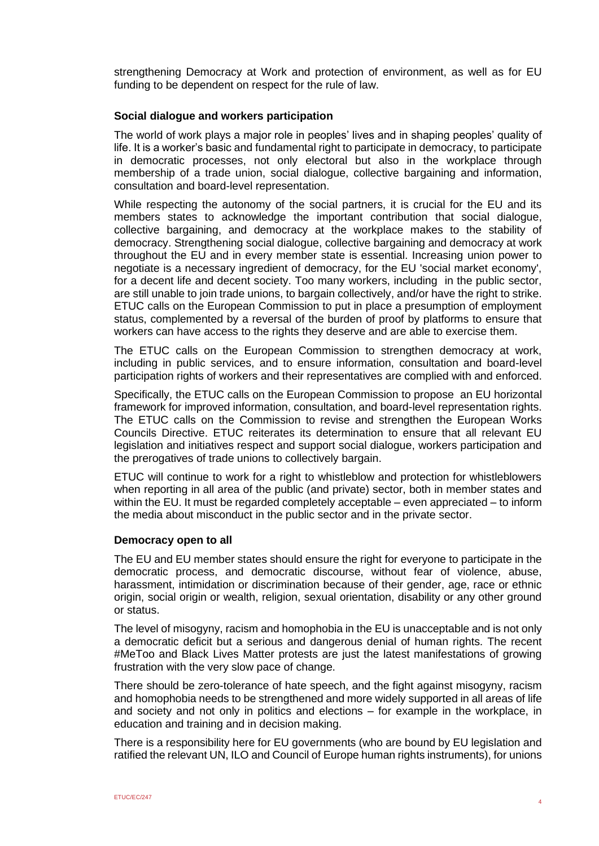strengthening Democracy at Work and protection of environment, as well as for EU funding to be dependent on respect for the rule of law.

## **Social dialogue and workers participation**

The world of work plays a major role in peoples' lives and in shaping peoples' quality of life. It is a worker's basic and fundamental right to participate in democracy, to participate in democratic processes, not only electoral but also in the workplace through membership of a trade union, social dialogue, collective bargaining and information, consultation and board-level representation.

While respecting the autonomy of the social partners, it is crucial for the EU and its members states to acknowledge the important contribution that social dialogue, collective bargaining, and democracy at the workplace makes to the stability of democracy. Strengthening social dialogue, collective bargaining and democracy at work throughout the EU and in every member state is essential. Increasing union power to negotiate is a necessary ingredient of democracy, for the EU 'social market economy', for a decent life and decent society. Too many workers, including in the public sector, are still unable to join trade unions, to bargain collectively, and/or have the right to strike. ETUC calls on the European Commission to put in place a presumption of employment status, complemented by a reversal of the burden of proof by platforms to ensure that workers can have access to the rights they deserve and are able to exercise them.

The ETUC calls on the European Commission to strengthen democracy at work, including in public services, and to ensure information, consultation and board-level participation rights of workers and their representatives are complied with and enforced.

Specifically, the ETUC calls on the European Commission to propose an EU horizontal framework for improved information, consultation, and board-level representation rights. The ETUC calls on the Commission to revise and strengthen the European Works Councils Directive. ETUC reiterates its determination to ensure that all relevant EU legislation and initiatives respect and support social dialogue, workers participation and the prerogatives of trade unions to collectively bargain.

ETUC will continue to work for a right to whistleblow and protection for whistleblowers when reporting in all area of the public (and private) sector, both in member states and within the EU. It must be regarded completely acceptable – even appreciated – to inform the media about misconduct in the public sector and in the private sector.

#### **Democracy open to all**

The EU and EU member states should ensure the right for everyone to participate in the democratic process, and democratic discourse, without fear of violence, abuse, harassment, intimidation or discrimination because of their gender, age, race or ethnic origin, social origin or wealth, religion, sexual orientation, disability or any other ground or status.

The level of misogyny, racism and homophobia in the EU is unacceptable and is not only a democratic deficit but a serious and dangerous denial of human rights. The recent #MeToo and Black Lives Matter protests are just the latest manifestations of growing frustration with the very slow pace of change.

There should be zero-tolerance of hate speech, and the fight against misogyny, racism and homophobia needs to be strengthened and more widely supported in all areas of life and society and not only in politics and elections – for example in the workplace, in education and training and in decision making.

There is a responsibility here for EU governments (who are bound by EU legislation and ratified the relevant UN, ILO and Council of Europe human rights instruments), for unions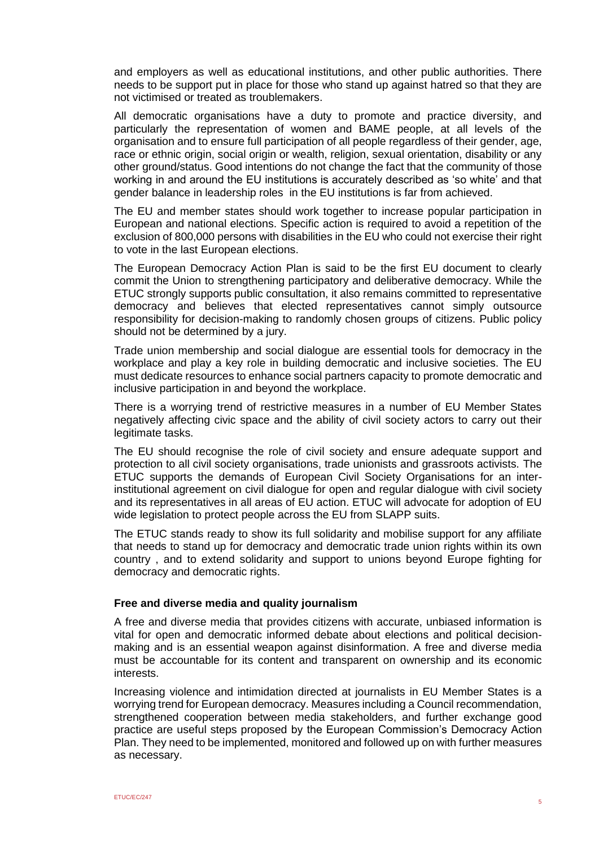and employers as well as educational institutions, and other public authorities. There needs to be support put in place for those who stand up against hatred so that they are not victimised or treated as troublemakers.

All democratic organisations have a duty to promote and practice diversity, and particularly the representation of women and BAME people, at all levels of the organisation and to ensure full participation of all people regardless of their gender, age, race or ethnic origin, social origin or wealth, religion, sexual orientation, disability or any other ground/status. Good intentions do not change the fact that the community of those working in and around the EU institutions is accurately described as 'so white' and that gender balance in leadership roles in the EU institutions is far from achieved.

The EU and member states should work together to increase popular participation in European and national elections. Specific action is required to avoid a repetition of the exclusion of 800,000 persons with disabilities in the EU who could not exercise their right to vote in the last European elections.

The European Democracy Action Plan is said to be the first EU document to clearly commit the Union to strengthening participatory and deliberative democracy. While the ETUC strongly supports public consultation, it also remains committed to representative democracy and believes that elected representatives cannot simply outsource responsibility for decision-making to randomly chosen groups of citizens. Public policy should not be determined by a jury.

Trade union membership and social dialogue are essential tools for democracy in the workplace and play a key role in building democratic and inclusive societies. The EU must dedicate resources to enhance social partners capacity to promote democratic and inclusive participation in and beyond the workplace.

There is a worrying trend of restrictive measures in a number of EU Member States negatively affecting civic space and the ability of civil society actors to carry out their legitimate tasks.

The EU should recognise the role of civil society and ensure adequate support and protection to all civil society organisations, trade unionists and grassroots activists. The ETUC supports the demands of European Civil Society Organisations for an interinstitutional agreement on civil dialogue for open and regular dialogue with civil society and its representatives in all areas of EU action. ETUC will advocate for adoption of EU wide legislation to protect people across the EU from SLAPP suits.

The ETUC stands ready to show its full solidarity and mobilise support for any affiliate that needs to stand up for democracy and democratic trade union rights within its own country , and to extend solidarity and support to unions beyond Europe fighting for democracy and democratic rights.

## **Free and diverse media and quality journalism**

A free and diverse media that provides citizens with accurate, unbiased information is vital for open and democratic informed debate about elections and political decisionmaking and is an essential weapon against disinformation. A free and diverse media must be accountable for its content and transparent on ownership and its economic interests.

Increasing violence and intimidation directed at journalists in EU Member States is a worrying trend for European democracy. Measures including a Council recommendation, strengthened cooperation between media stakeholders, and further exchange good practice are useful steps proposed by the European Commission's Democracy Action Plan. They need to be implemented, monitored and followed up on with further measures as necessary.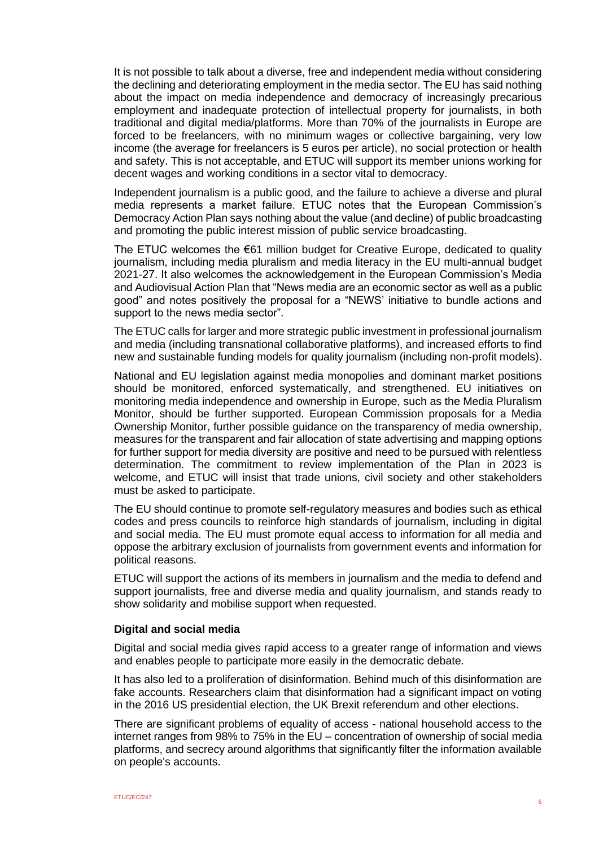It is not possible to talk about a diverse, free and independent media without considering the declining and deteriorating employment in the media sector. The EU has said nothing about the impact on media independence and democracy of increasingly precarious employment and inadequate protection of intellectual property for journalists, in both traditional and digital media/platforms. More than 70% of the journalists in Europe are forced to be freelancers, with no minimum wages or collective bargaining, very low income (the average for freelancers is 5 euros per article), no social protection or health and safety. This is not acceptable, and ETUC will support its member unions working for decent wages and working conditions in a sector vital to democracy.

Independent journalism is a public good, and the failure to achieve a diverse and plural media represents a market failure. ETUC notes that the European Commission's Democracy Action Plan says nothing about the value (and decline) of public broadcasting and promoting the public interest mission of public service broadcasting.

The ETUC welcomes the €61 million budget for Creative Europe, dedicated to quality journalism, including media pluralism and media literacy in the EU multi-annual budget 2021-27. It also welcomes the acknowledgement in the European Commission's Media and Audiovisual Action Plan that "News media are an economic sector as well as a public good" and notes positively the proposal for a "NEWS' initiative to bundle actions and support to the news media sector".

The ETUC calls for larger and more strategic public investment in professional journalism and media (including transnational collaborative platforms), and increased efforts to find new and sustainable funding models for quality journalism (including non-profit models).

National and EU legislation against media monopolies and dominant market positions should be monitored, enforced systematically, and strengthened. EU initiatives on monitoring media independence and ownership in Europe, such as the Media Pluralism Monitor, should be further supported. European Commission proposals for a Media Ownership Monitor, further possible guidance on the transparency of media ownership, measures for the transparent and fair allocation of state advertising and mapping options for further support for media diversity are positive and need to be pursued with relentless determination. The commitment to review implementation of the Plan in 2023 is welcome, and ETUC will insist that trade unions, civil society and other stakeholders must be asked to participate.

The EU should continue to promote self-regulatory measures and bodies such as ethical codes and press councils to reinforce high standards of journalism, including in digital and social media. The EU must promote equal access to information for all media and oppose the arbitrary exclusion of journalists from government events and information for political reasons.

ETUC will support the actions of its members in journalism and the media to defend and support journalists, free and diverse media and quality journalism, and stands ready to show solidarity and mobilise support when requested.

## **Digital and social media**

Digital and social media gives rapid access to a greater range of information and views and enables people to participate more easily in the democratic debate.

It has also led to a proliferation of disinformation. Behind much of this disinformation are fake accounts. Researchers claim that disinformation had a significant impact on voting in the 2016 US presidential election, the UK Brexit referendum and other elections.

There are significant problems of equality of access - national household access to the internet ranges from 98% to 75% in the EU – concentration of ownership of social media platforms, and secrecy around algorithms that significantly filter the information available on people's accounts.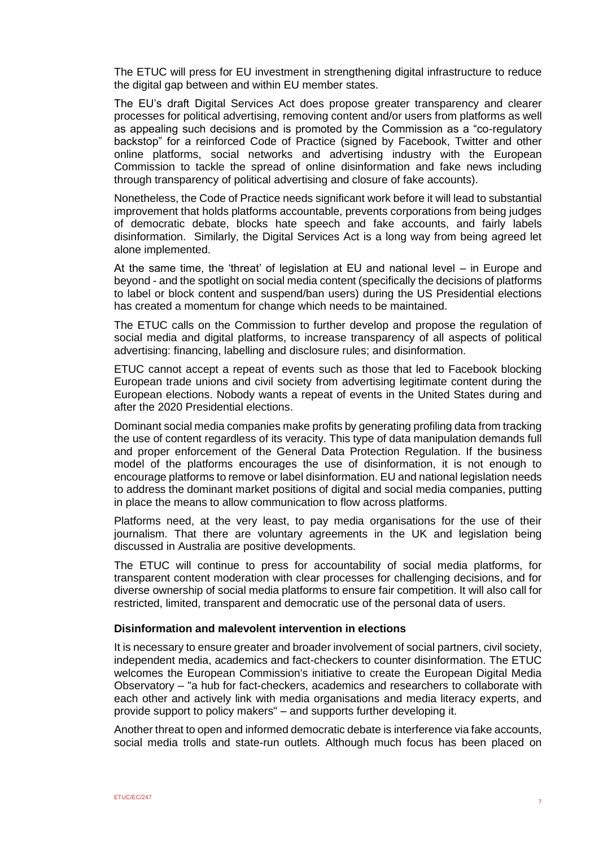The ETUC will press for EU investment in strengthening digital infrastructure to reduce the digital gap between and within EU member states.

The EU's draft Digital Services Act does propose greater transparency and clearer processes for political advertising, removing content and/or users from platforms as well as appealing such decisions and is promoted by the Commission as a "co-regulatory backstop" for a reinforced Code of Practice (signed by Facebook, Twitter and other online platforms, social networks and advertising industry with the European Commission to tackle the spread of online disinformation and fake news including through transparency of political advertising and closure of fake accounts).

Nonetheless, the Code of Practice needs significant work before it will lead to substantial improvement that holds platforms accountable, prevents corporations from being judges of democratic debate, blocks hate speech and fake accounts, and fairly labels disinformation. Similarly, the Digital Services Act is a long way from being agreed let alone implemented.

At the same time, the 'threat' of legislation at EU and national level – in Europe and beyond - and the spotlight on social media content (specifically the decisions of platforms to label or block content and suspend/ban users) during the US Presidential elections has created a momentum for change which needs to be maintained.

The ETUC calls on the Commission to further develop and propose the regulation of social media and digital platforms, to increase transparency of all aspects of political advertising: financing, labelling and disclosure rules; and disinformation.

ETUC cannot accept a repeat of events such as those that led to Facebook blocking European trade unions and civil society from advertising legitimate content during the European elections. Nobody wants a repeat of events in the United States during and after the 2020 Presidential elections.

Dominant social media companies make profits by generating profiling data from tracking the use of content regardless of its veracity. This type of data manipulation demands full and proper enforcement of the General Data Protection Regulation. If the business model of the platforms encourages the use of disinformation, it is not enough to encourage platforms to remove or label disinformation. EU and national legislation needs to address the dominant market positions of digital and social media companies, putting in place the means to allow communication to flow across platforms.

Platforms need, at the very least, to pay media organisations for the use of their journalism. That there are voluntary agreements in the UK and legislation being discussed in Australia are positive developments.

The ETUC will continue to press for accountability of social media platforms, for transparent content moderation with clear processes for challenging decisions, and for diverse ownership of social media platforms to ensure fair competition. It will also call for restricted, limited, transparent and democratic use of the personal data of users.

#### **Disinformation and malevolent intervention in elections**

It is necessary to ensure greater and broader involvement of social partners, civil society, independent media, academics and fact-checkers to counter disinformation. The ETUC welcomes the European Commission's initiative to create the European Digital Media Observatory – "a hub for fact-checkers, academics and researchers to collaborate with each other and actively link with media organisations and media literacy experts, and provide support to policy makers" – and supports further developing it.

Another threat to open and informed democratic debate is interference via fake accounts, social media trolls and state-run outlets. Although much focus has been placed on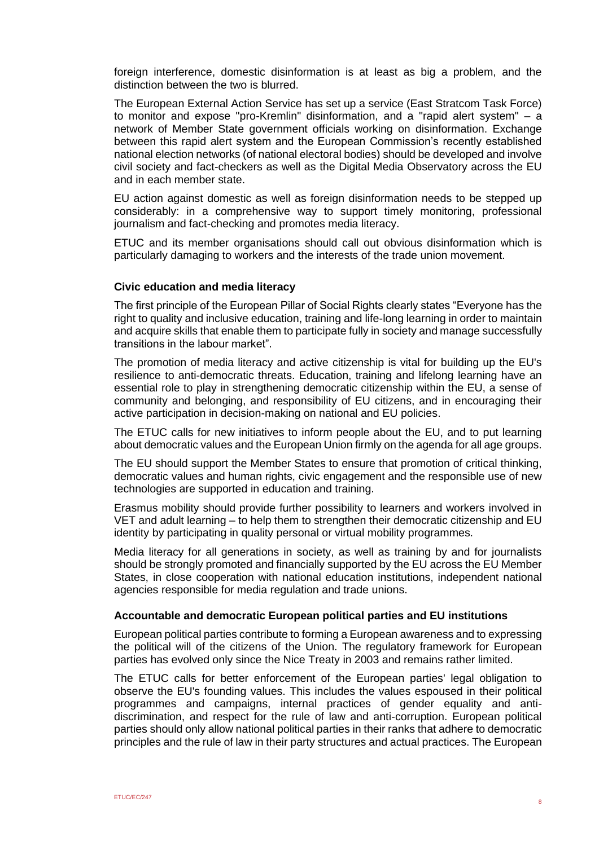foreign interference, domestic disinformation is at least as big a problem, and the distinction between the two is blurred.

The European External Action Service has set up a service (East Stratcom Task Force) to monitor and expose "pro-Kremlin" disinformation, and a "rapid alert system" – a network of Member State government officials working on disinformation. Exchange between this rapid alert system and the European Commission's recently established national election networks (of national electoral bodies) should be developed and involve civil society and fact-checkers as well as the Digital Media Observatory across the EU and in each member state.

EU action against domestic as well as foreign disinformation needs to be stepped up considerably: in a comprehensive way to support timely monitoring, professional journalism and fact-checking and promotes media literacy.

ETUC and its member organisations should call out obvious disinformation which is particularly damaging to workers and the interests of the trade union movement.

## **Civic education and media literacy**

The first principle of the European Pillar of Social Rights clearly states "Everyone has the right to quality and inclusive education, training and life-long learning in order to maintain and acquire skills that enable them to participate fully in society and manage successfully transitions in the labour market".

The promotion of media literacy and active citizenship is vital for building up the EU's resilience to anti-democratic threats. Education, training and lifelong learning have an essential role to play in strengthening democratic citizenship within the EU, a sense of community and belonging, and responsibility of EU citizens, and in encouraging their active participation in decision-making on national and EU policies.

The ETUC calls for new initiatives to inform people about the EU, and to put learning about democratic values and the European Union firmly on the agenda for all age groups.

The EU should support the Member States to ensure that promotion of critical thinking, democratic values and human rights, civic engagement and the responsible use of new technologies are supported in education and training.

Erasmus mobility should provide further possibility to learners and workers involved in VET and adult learning – to help them to strengthen their democratic citizenship and EU identity by participating in quality personal or virtual mobility programmes.

Media literacy for all generations in society, as well as training by and for journalists should be strongly promoted and financially supported by the EU across the EU Member States, in close cooperation with national education institutions, independent national agencies responsible for media regulation and trade unions.

#### **Accountable and democratic European political parties and EU institutions**

European political parties contribute to forming a European awareness and to expressing the political will of the citizens of the Union. The regulatory framework for European parties has evolved only since the Nice Treaty in 2003 and remains rather limited.

The ETUC calls for better enforcement of the European parties' legal obligation to observe the EU's founding values. This includes the values espoused in their political programmes and campaigns, internal practices of gender equality and antidiscrimination, and respect for the rule of law and anti-corruption. European political parties should only allow national political parties in their ranks that adhere to democratic principles and the rule of law in their party structures and actual practices. The European